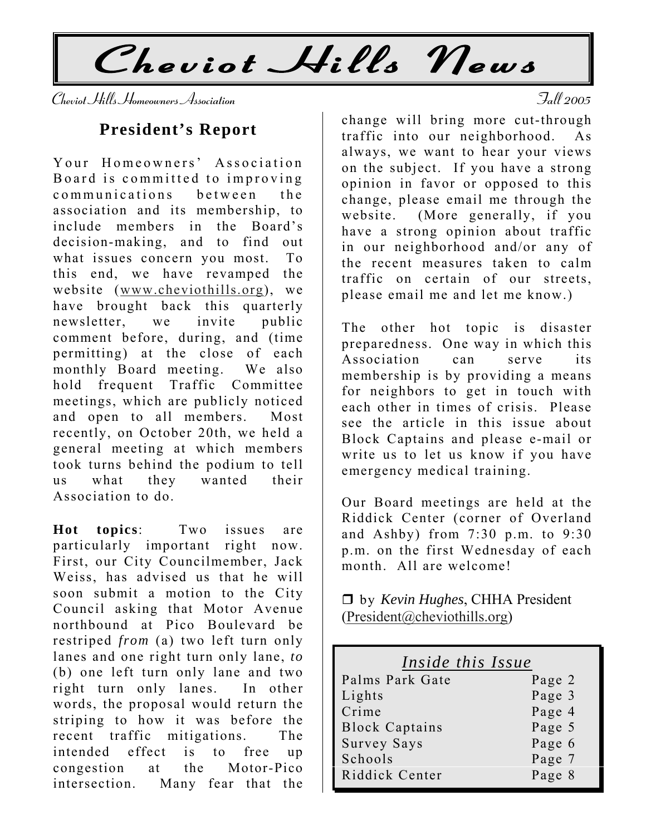Cheviot Hills News

Cheviot Hills Homeowners Association Fall 2005

### **President's Report**

Your Homeowners' Association Board is committed to improving communications between the association and its membership, to include members in the Board's decision-making, and to find out what issues concern you most. To this end, we have revamped the website (www.cheviothills.org), we have brought back this quarterly newsletter, we invite public comment before, during, and (time permitting) at the close of each monthly Board meeting. We also hold frequent Traffic Committee meetings, which are publicly noticed and open to all members. Most recently, on October 20th, we held a general meeting at which members took turns behind the podium to tell us what they wanted their Association to do.

**Hot topics**: Two issues are particularly important right now. First, our City Councilmember, Jack Weiss, has advised us that he will soon submit a motion to the City Council asking that Motor Avenue northbound at Pico Boulevard be restriped *from* (a) two left turn only lanes and one right turn only lane, *to* (b) one left turn only lane and two right turn only lanes. In other words, the proposal would return the striping to how it was before the recent traffic mitigations. The intended effect is to free up congestion at the Motor-Pico intersection. Many fear that the

change will bring more cut-through traffic into our neighborhood. As always, we want to hear your views on the subject. If you have a strong opinion in favor or opposed to this change, please email me through the website. (More generally, if you have a strong opinion about traffic in our neighborhood and/or any of the recent measures taken to calm traffic on certain of our streets, please email me and let me know.)

The other hot topic is disaster preparedness. One way in which this Association can serve its membership is by providing a means for neighbors to get in touch with each other in times of crisis. Please see the article in this issue about Block Captains and please e-mail or write us to let us know if you have emergency medical training.

Our Board meetings are held at the Riddick Center (corner of Overland and Ashby) from 7:30 p.m. to 9:30 p.m. on the first Wednesday of each month. All are welcome!

□ by *Kevin Hughes*, CHHA President  $(President@cheviothills.org)$ 

| Inside this Issue     |        |
|-----------------------|--------|
| Palms Park Gate       | Page 2 |
| Lights                | Page 3 |
| Crime                 | Page 4 |
| <b>Block Captains</b> | Page 5 |
| Survey Says           | Page 6 |
| Schools               | Page 7 |
| Riddick Center        | Page 8 |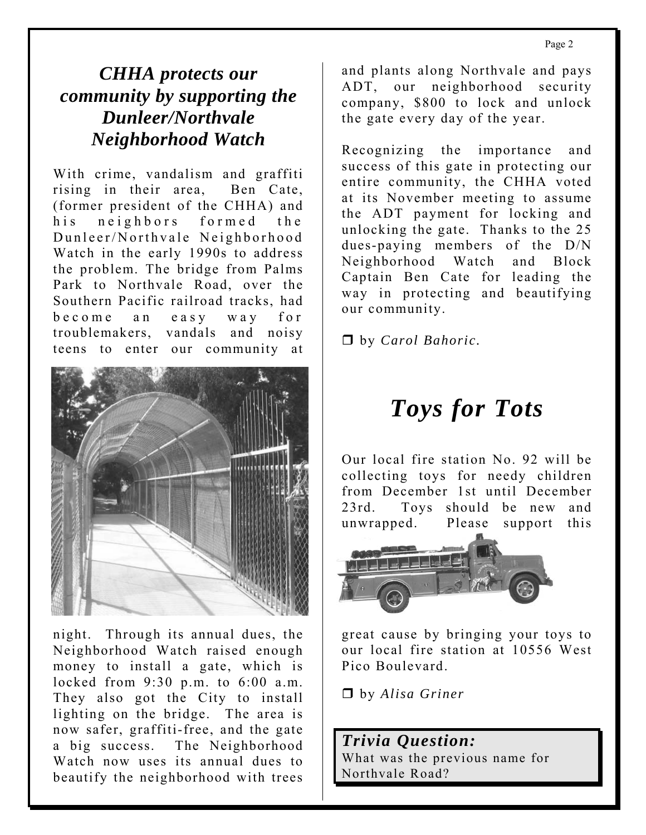## *CHHA protects our community by supporting the Dunleer/Northvale Neighborhood Watch*

With crime, vandalism and graffiti rising in their area, Ben Cate, (former president of the CHHA) and his neighbors form ed the Dunleer/Northvale Neighborhood Watch in the early 1990s to address the problem. The bridge from Palms Park to Northvale Road, over the Southern Pacific railroad tracks, had becom e an easy way for troublemakers, vandals and noisy teens to enter our community at



locked from 9:30 p.m. to 6:00 a.m. They also got the City to install lighting on the bridge. The area is now safer, graffiti-free, and the gate a big success. The Neighborhood Watch now uses its annual dues to beautify the neighborhood with trees night. Through its annual dues, the Neighborhood Watch raised enough money to install a gate, which is

and plants along Northvale and pays ADT, our neighborhood security company, \$800 to lock and unlock the gate every day of the year.

Recognizing the importance and success of this gate in protecting our entire community, the CHHA voted at its November meeting to assume the ADT payment for locking and unlocking the gate. Thanks to the 25 dues-paying members of the D/N Neighborhood Watch and Block Captain Ben Cate for leading the way in protecting and beautifying our community.

by *Carol Bahoric.* 

# *Toys for Tots*

Our local fire station No. 92 will be collecting toys for needy children from December 1st until December 23rd. Toys should be new and unwrapped. Please support this



great cause by bringing your toys to our local fire station at 10556 West Pico Boulevard.

by *Alisa Griner* 

*Trivia Question:*  What was the previous name for Northvale Road?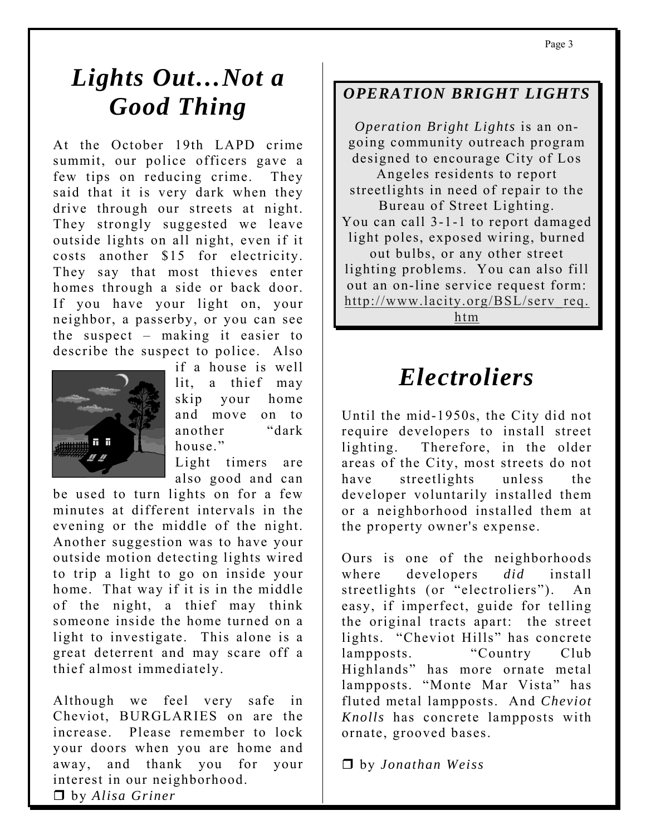# *Lights Out…Not a Good Thing*

At the October 19th LAPD crime summit, our police officers gave a few tips on reducing crime. They said that it is very dark when they drive through our streets at night. They strongly suggested we leave outside lights on all night, even if it costs another \$15 for electricity. They say that most thieves enter homes through a side or back door. If you have your light on, your neighbor, a passerby, or you can see the suspect – making it easier to describe the suspect to police. Also



if a house is well lit, a thief may skip your home and move on to another "dark house."

Light timers are also good and can

be used to turn lights on for a few minutes at different intervals in the evening or the middle of the night. Another suggestion was to have your outside motion detecting lights wired to trip a light to go on inside your home. That way if it is in the middle of the night, a thief may think someone inside the home turned on a light to investigate. This alone is a great deterrent and may scare off a thief almost immediately.

Although we feel very safe in Cheviot, BURGLARIES on are the increase. Please remember to lock your doors when you are home and away, and thank you for your interest in our neighborhood. by *Alisa Griner* 

### *OPERATION BRIGHT LIGHTS*

*Operation Bright Lights* is an ongoing community outreach program designed to encourage City of Los Angeles residents to report streetlights in need of repair to the Bureau of Street Lighting. You can call 3-1-1 to report damaged light poles, exposed wiring, burned out bulbs, or any other street lighting problems. You can also fill out an on-line service request form: http://www.lacity.org/BSL/serv\_req. htm

## *Electroliers*

Until the mid-1950s, the City did not require developers to install street lighting. Therefore, in the older areas of the City, most streets do not have streetlights unless the developer voluntarily installed them or a neighborhood installed them at the property owner's expense.

Ours is one of the neighborhoods where developers *did* install streetlights (or "electroliers"). An easy, if imperfect, guide for telling the original tracts apart: the street lights. "Cheviot Hills" has concrete lampposts. "Country Club Highlands" has more ornate metal lampposts. "Monte Mar Vista" has fluted metal lampposts. And *Cheviot Knolls* has concrete lampposts with ornate, grooved bases.

by *Jonathan Weiss*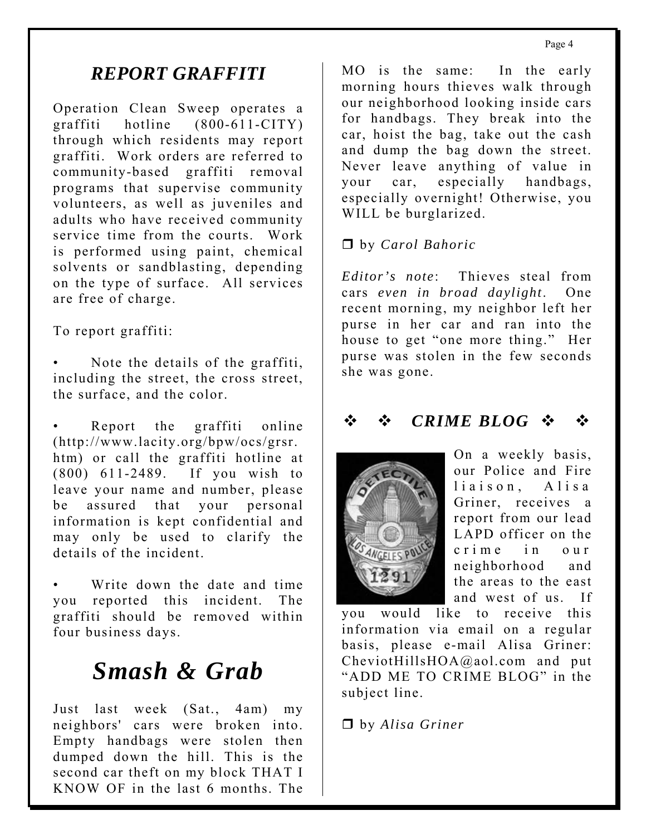## *REPORT GRAFFITI*

Operation Clean Sweep operates a graffiti hotline (800-611-CITY) through which residents may report graffiti. Work orders are referred to community-based graffiti removal programs that supervise community volunteers, as well as juveniles and adults who have received community service time from the courts. Work is performed using paint, chemical solvents or sandblasting, depending on the type of surface. All services are free of charge.

To report graffiti:

Note the details of the graffiti, including the street, the cross street, the surface, and the color.

Report the graffiti online (http://www.lacity.org/bpw/ocs/grsr. htm) or call the graffiti hotline at (800) 611-2489. If you wish to leave your name and number, please be assured that your personal information is kept confidential and may only be used to clarify the details of the incident.

Write down the date and time you reported this incident. The graffiti should be removed within four business days. •

# *Smash & Grab*

Just last week (Sat., 4am) my neighbors' cars were broken into. Empty handbags were stolen then dumped down the hill. This is the second car theft on my block THAT I KNOW OF in the last 6 months. The

MO is the same: In the early morning hours thieves walk through our neighborhood looking inside cars for handbags. They break into the car, hoist the bag, take out the cash and dump the bag down the street. Never leave anything of value in your car, especially handbags, especially overnight! Otherwise, you WILL be burglarized.

### by *Carol Bahoric*

*Editor's note*: Thieves steal from cars *even in broad daylight*. One recent morning, my neighbor left her purse in her car and ran into the house to get "one more thing." Her purse was stolen in the few seconds she was gone.

## *CRIME BLOG*



On a weekly basis, our Police and Fire liaison, Alisa Griner, receives a report from our lead LAPD officer on the crim e in our neighborhood and the areas to the east and west of us. If

you would like to receive this information via email on a regular basis, please e-mail Alisa Griner: CheviotHillsHOA@aol.com and put "ADD ME TO CRIME BLOG" in the subject line.

by *Alisa Griner*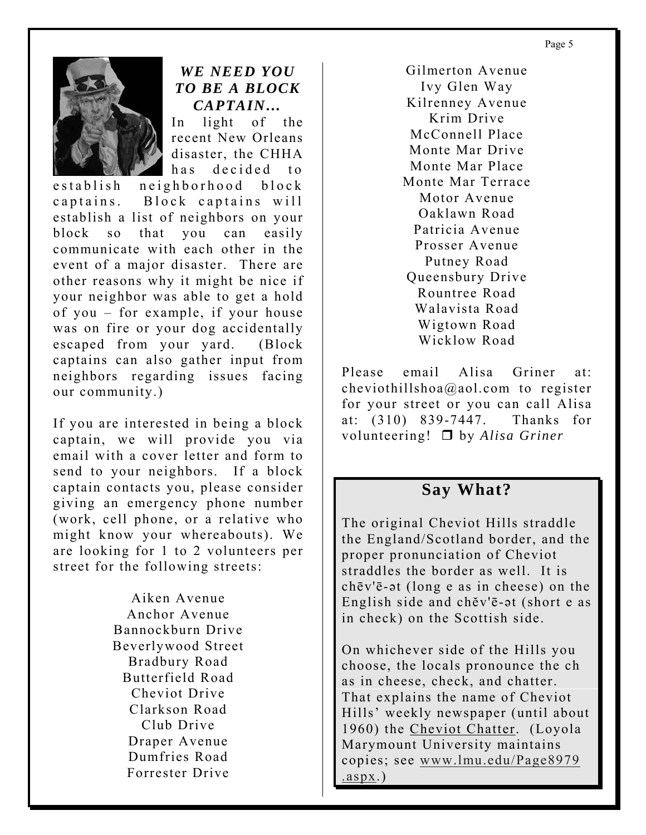Page 5



### *WE NEED YOU TO BE A BLOCK CAPTAIN…*

In light of the recent New Orleans disaster, the CHHA has decided to

establish neighborhood block captains. Block captains will establish a list of neighbors on your block so that you can easily communicate with each other in the event of a major disaster. There are other reasons why it might be nice if your neighbor was able to get a hold of you – for example, if your house was on fire or your dog accidentally escaped from your yard. (Block captains can also gather input from neighbors regarding issues facing our community.)

If you are interested in being a block captain, we will provide you via email with a cover letter and form to send to your neighbors. If a block captain contacts you, please consider giving an emergency phone number (work, cell phone, or a relative who might know your whereabouts). We are looking for 1 to 2 volunteers per street for the following streets:

> Aiken Avenue Anchor Avenue Bannockburn Drive Beverlywood Street Bradbury Road Butterfield Road Cheviot Drive Clarkson Road Club Drive Draper Avenue Dumfries Road Forrester Drive

Gilmerton Avenue Ivy Glen Way Kilrenney Avenue Krim Drive McConnell Place Monte Mar Drive Monte Mar Place Monte Mar Terrace Motor Avenue Oaklawn Road Patricia Avenue Prosser Avenue Putney Road Queensbury Drive Rountree Road Walavista Road Wigtown Road Wicklow Road

Please email Alisa Griner at: cheviothillshoa@aol.com to register for your street or you can call Alisa at: (310) 839-7447. Thanks for volunteering! by *Alisa Griner* 

### **Say What?**

The original Cheviot Hills straddle the England/Scotland border, and the proper pronunciation of Cheviot straddles the border as well. It is chēv'ē-ət (long e as in cheese) on the English side and chĕv'ē-ət (short e as in check) on the Scottish side.

On whichever side of the Hills you choose, the locals pronounce the ch as in cheese, check, and chatter. That explains the name of Cheviot Hills' weekly newspaper (until about 1960) the Cheviot Chatter. (Loyola Marymount University maintains copies; see www.lmu.edu/Page8979 .aspx.)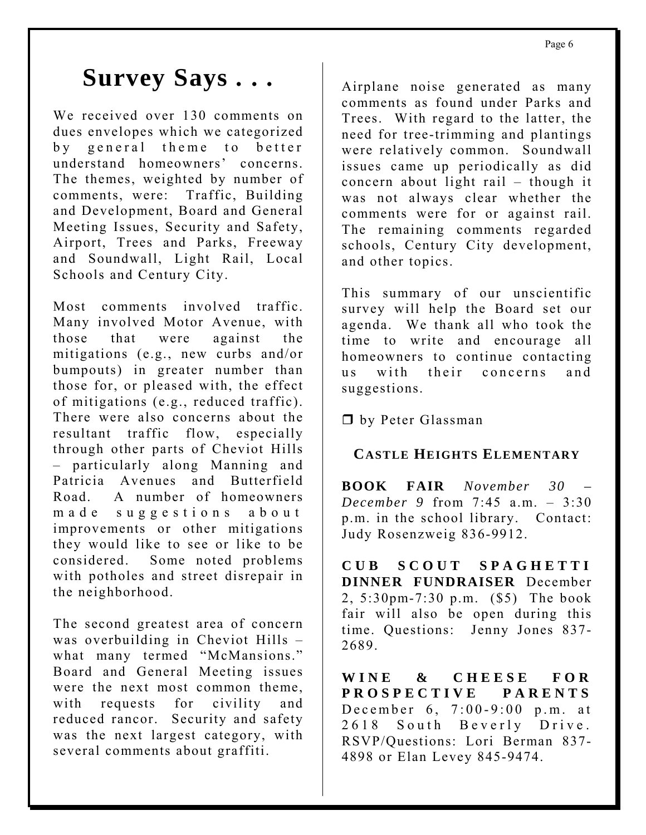# **Survey Says . . .**

We received over 130 comments on dues envelopes which we categorized by general theme to better understand homeowners' concerns. The themes, weighted by number of comments, were: Traffic, Building and Development, Board and General Meeting Issues, Security and Safety, Airport, Trees and Parks, Freeway and Soundwall, Light Rail, Local Schools and Century City.

Most comments involved traffic. Many involved Motor Avenue, with those that were against the mitigations (e.g., new curbs and/or bumpouts) in greater number than those for, or pleased with, the effect of mitigations (e.g., reduced traffic). There were also concerns about the resultant traffic flow, especially through other parts of Cheviot Hills – particularly along Manning and Patricia Avenues and Butterfield Road. A number of homeowners m a de suggestions about improvements or other mitigations they would like to see or like to be considered. Some noted problems with potholes and street disrepair in the neighborhood.

The second greatest area of concern was overbuilding in Cheviot Hills – what many termed "McMansions." Board and General Meeting issues were the next most common theme, with requests for civility and reduced rancor. Security and safety was the next largest category, with several comments about graffiti.

Airplane noise generated as many comments as found under Parks and Trees. With regard to the latter, the need for tree-trimming and plantings were relatively common. Soundwall issues came up periodically as did concern about light rail – though it was not always clear whether the comments were for or against rail. The remaining comments regarded schools, Century City development, and other topics.

This summary of our unscientific survey will help the Board set our agenda. We thank all who took the time to write and encourage all homeowners to continue contacting us with their concerns and suggestions.

D by Peter Glassman

### **CASTLE HEIGHTS ELEMENTARY**

**BOOK FAIR** *November 30 – December 9* from 7:45 a.m. – 3:30 p.m. in the school library. Contact: Judy Rosenzweig 836-9912.

**CUB SCOUT SPAGHETTI DINNER FUNDRAISER** December 2, 5:30pm-7:30 p.m. (\$5) The book fair will also be open during this time. Questions: Jenny Jones 837- 2689.

**WINE & CHEESE FOR PROSPECTIVE PARENTS** December 6, 7:00-9:00 p.m. at 2618 South Beverly Drive. RSVP/Questions: Lori Berman 837- 4898 or Elan Levey 845-9474.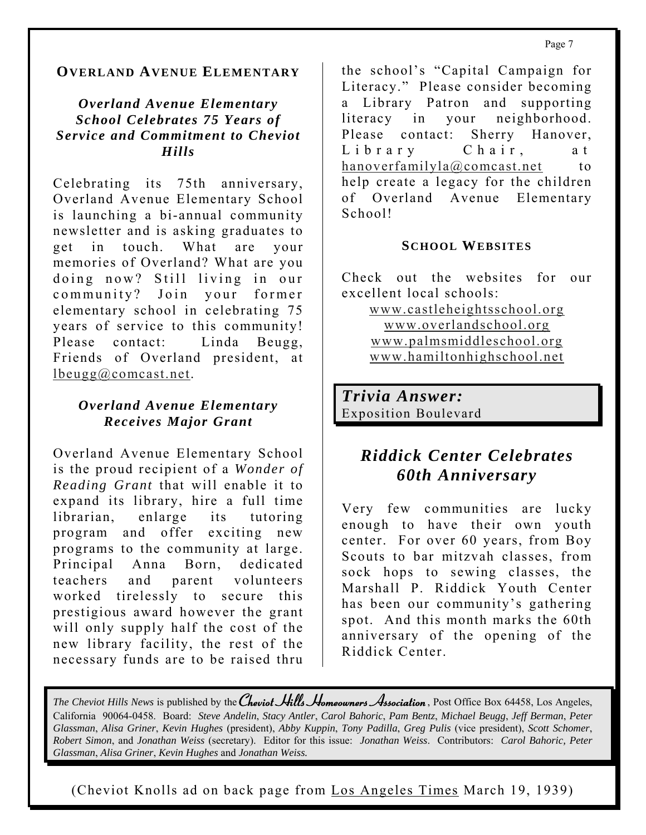### **OVERLAND AVENUE ELEMENTARY**

*Overland Avenue Elementary School Celebrates 75 Years of Service and Commitment to Cheviot Hills* 

Celebrating its 75th anniversary, Overland Avenue Elementary School is launching a bi-annual community newsletter and is asking graduates to get in touch. What are your memories of Overland? What are you doing now? Still living in our community? Join your former elementary school in celebrating 75 years of service to this community! Please contact: Linda Beugg, Friends of Overland president, at lbeugg@comcast.net.

#### *Overland Avenue Elementary Receives Major Grant*

Overland Avenue Elementary School is the proud recipient of a *Wonder of Reading Grant* that will enable it to expand its library, hire a full time librarian, enlarge its tutoring program and offer exciting new programs to the community at large. Principal Anna Born, dedicated teachers and parent volunteers worked tirelessly to secure this prestigious award however the grant will only supply half the cost of the new library facility, the rest of the necessary funds are to be raised thru

the school's "Capital Campaign for Literacy." Please consider becoming a Library Patron and supporting literacy in your neighborhood. Please contact: Sherry Hanover, Library Chair, at hanoverfamilyla@comcast.net to help create a legacy for the children of Overland Avenue Elementary School!

#### **SCHOOL WEBSITES**

Check out the websites for our excellent local schools:

> www.castleheightsschool.org www.overlandschool.org www.palmsmiddleschool.org www.hamiltonhighschool.net

*Trivia Answer:*  Exposition Boulevard

## *Riddick Center Celebrates 60th Anniversary*

Very few communities are lucky enough to have their own youth center. For over 60 years, from Boy Scouts to bar mitzvah classes, from sock hops to sewing classes, the Marshall P. Riddick Youth Center has been our community's gathering spot. And this month marks the 60th anniversary of the opening of the Riddick Center.

*The Cheviot Hills News* is published by the *Cheviot Hills Homeowners Association*, Post Office Box 64458, Los Angeles, California 90064-0458. Board: *Steve Andelin*, *Stacy Antler*, *Carol Bahoric*, *Pam Bentz*, *Michael Beugg*, *Jeff Berman*, *Peter Glassman*, *Alisa Griner*, *Kevin Hughes* (president), *Abby Kuppin*, *Tony Padilla*, *Greg Pulis* (vice president), *Scott Schomer*, *Robert Simon*, and *Jonathan Weiss* (secretary). Editor for this issue: *Jonathan Weiss*. Contributors: *Carol Bahoric, Peter Glassman*, *Alisa Griner*, *Kevin Hughes* and *Jonathan Weiss.* 

(Cheviot Knolls ad on back page from Los Angeles Times March 19, 1939)